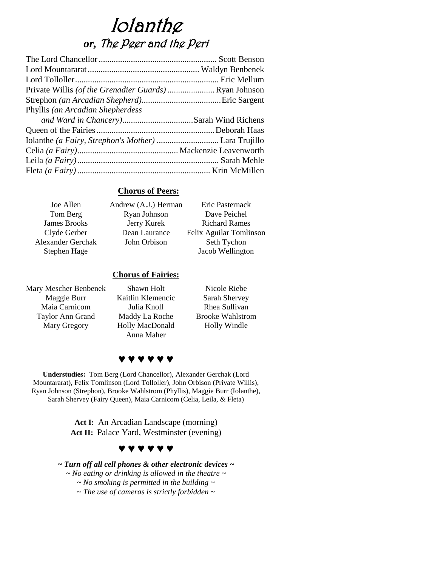# Iolanthe *or,* The Peer and the Peri

| Phyllis (an Arcadian Shepherdess |  |
|----------------------------------|--|
|                                  |  |
|                                  |  |
|                                  |  |
|                                  |  |
|                                  |  |
|                                  |  |

### **Chorus of Peers:**

| Joe Allen                | Andrew (A.J.) Herman | Eric Pasternack         |
|--------------------------|----------------------|-------------------------|
| Tom Berg                 | Ryan Johnson         | Dave Peichel            |
| <b>James Brooks</b>      | Jerry Kurek          | <b>Richard Rames</b>    |
| Clyde Gerber             | Dean Laurance        | Felix Aguilar Tomlinson |
| <b>Alexander Gerchak</b> | John Orbison         | Seth Tychon             |
| Stephen Hage             |                      | Jacob Wellington        |
|                          |                      |                         |

## **Chorus of Fairies:**

| Shawn Holt                    | Nicole Riebe            |
|-------------------------------|-------------------------|
| Kaitlin Klemencic             | Sarah Shervey           |
| Julia Knoll                   | Rhea Sullivan           |
| Maddy La Roche                | <b>Brooke Wahlstrom</b> |
| Holly MacDonald<br>Anna Maher | Holly Windle            |
|                               |                         |



**Understudies:** Tom Berg (Lord Chancellor), Alexander Gerchak (Lord Mountararat), Felix Tomlinson (Lord Tolloller), John Orbison (Private Willis), Ryan Johnson (Strephon), Brooke Wahlstrom (Phyllis), Maggie Burr (Iolanthe), Sarah Shervey (Fairy Queen), Maia Carnicom (Celia, Leila, & Fleta)

> **Act I:** An Arcadian Landscape (morning) Act II: Palace Yard, Westminster (evening)

## **♥ ♥ ♥ ♥ ♥ ♥**

*~ Turn off all cell phones & other electronic devices ~ ~ No eating or drinking is allowed in the theatre ~ ~ No smoking is permitted in the building ~*

*~ The use of cameras is strictly forbidden ~*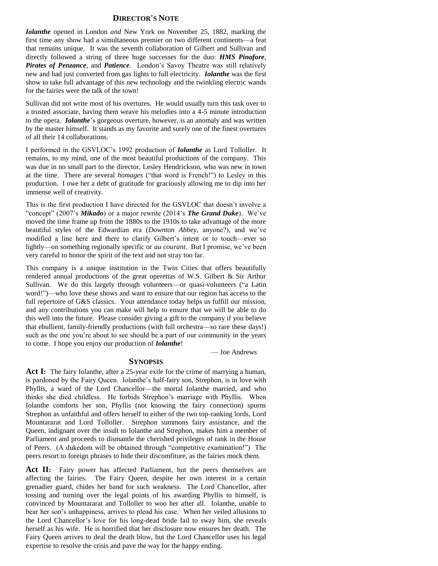#### **DIRECTOR'S NOTE**

*Iolanthe* opened in London *and* New York on November 25, 1882, marking the first time any show had a simultaneous premier on two different continents—a feat that remains unique. It was the seventh collaboration of Gilbert and Sullivan and directly followed a string of three huge successes for the duo: *HMS Pinafore, Pirates of Penzance,* and *Patience.* London's Savoy Theatre was still relatively new and had just converted from gas lights to full electricity. *Iolanthe* was the first show to take full advantage of this new technology and the twinkling electric wands for the fairies were the talk of the town!

Sullivan did not write most of his overtures. He would usually turn this task over to a trusted associate, having them weave his melodies into a 4-5 minute introduction to the opera. *Iolanthe*'s gorgeous overture, however, is an anomaly and was written by the master himself. It stands as my favorite and surely one of the finest overtures of all their 14 collaborations.

I performed in the GSVLOC's 1992 production of *Iolanthe* as Lord Tolloller. It remains, to my mind, one of the most beautiful productions of the company. This was due in no small part to the director, Lesley Hendrickson, who was new in town at the time. There are several *homages* ("that word is French!") to Lesley in this production. I owe her a debt of gratitude for graciously allowing me to dip into her immense well of creativity.

This is the first production I have directed for the GSVLOC that doesn't involve a "concept" (2007's *Mikado*) or a major rewrite (2014's *The Grand Duke*). We've moved the time frame up from the 1880s to the 1910s to take advantage of the more beautiful styles of the Edwardian era (*Downton Abbey,* anyone?), and we've modified a line here and there to clarify Gilbert's intent or to touch—ever so lightly—on something regionally specific or *au courant*. But I promise, we've been very careful to honor the spirit of the text and not stray too far.

This company is a unique institution in the Twin Cities that offers beautifully rendered annual productions of the great operettas of W.S. Gilbert & Sir Arthur Sullivan. We do this largely through volunteers—or quasi-volunteers ("a Latin word!")—who love these shows and want to ensure that our region has access to the full repertoire of G&S classics. Your attendance today helps us fulfill our mission, and any contributions you can make will help to ensure that we will be able to do this well into the future. Please consider giving a gift to the company if you believe that ebullient, family-friendly productions (with full orchestra—so rare these days!) such as the one you're about to see should be a part of our community in the years to come. I hope you enjoy our production of *Iolanthe*!

— Joe Andrews

#### **SYNOPSIS**

Act I: The fairy Iolanthe, after a 25-year exile for the crime of marrying a human, is pardoned by the Fairy Queen. Iolanthe's half-fairy son, Strephon, is in love with Phyllis, a ward of the Lord Chancellor—the mortal Iolanthe married, and who thinks she died childless. He forbids Strephon's marriage with Phyllis. When Iolanthe comforts her son, Phyllis (not knowing the fairy connection) spurns Strephon as unfaithful and offers herself to either of the two top-ranking lords, Lord Mountararat and Lord Tolloller. Strephon summons fairy assistance, and the Queen, indignant over the insult to Iolanthe and Strephon, makes him a member of Parliament and proceeds to dismantle the cherished privileges of rank in the House of Peers. (A dukedom will be obtained through "competitive examination!") The peers resort to foreign phrases to hide their discomfiture, as the fairies mock them.

Act II: Fairy power has affected Parliament, but the peers themselves are affecting the fairies. The Fairy Queen, despite her own interest in a certain grenadier guard, chides her band for such weakness. The Lord Chancellor, after tossing and turning over the legal points of his awarding Phyllis to himself, is convinced by Mountararat and Tolloller to woo her after all. Iolanthe, unable to bear her son's unhappiness, arrives to plead his case. When her veiled allusions to the Lord Chancellor's love for his long-dead bride fail to sway him, she reveals herself as his wife. He is horrified that her disclosure now ensures her death. The Fairy Queen arrives to deal the death blow, but the Lord Chancellor uses his legal expertise to resolve the crisis and pave the way for the happy ending.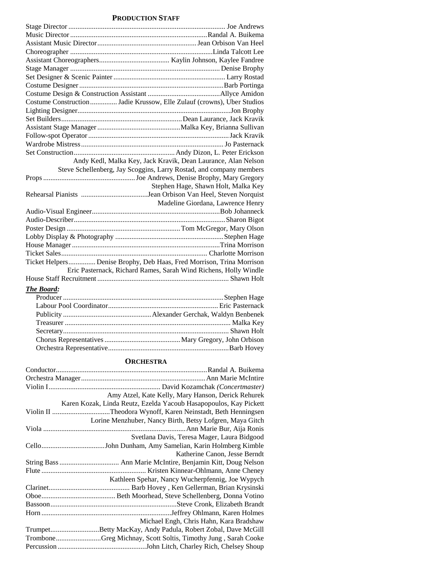#### **PRODUCTION STAFF**

| Costume Construction  Jadie Krussow, Elle Zulauf (crowns), Uber Studios |  |
|-------------------------------------------------------------------------|--|
|                                                                         |  |
|                                                                         |  |
|                                                                         |  |
|                                                                         |  |
|                                                                         |  |
|                                                                         |  |
| Andy Kedl, Malka Key, Jack Kravik, Dean Laurance, Alan Nelson           |  |
| Steve Schellenberg, Jay Scoggins, Larry Rostad, and company members     |  |
|                                                                         |  |
| Stephen Hage, Shawn Holt, Malka Key                                     |  |
|                                                                         |  |
| Madeline Giordana, Lawrence Henry                                       |  |
|                                                                         |  |
|                                                                         |  |
|                                                                         |  |
|                                                                         |  |
|                                                                         |  |
|                                                                         |  |
|                                                                         |  |
|                                                                         |  |
| Ticket Helpers Denise Brophy, Deb Haas, Fred Morrison, Trina Morrison   |  |
| Eric Pasternack, Richard Rames, Sarah Wind Richens, Holly Windle        |  |
|                                                                         |  |
| The Board:                                                              |  |
|                                                                         |  |
|                                                                         |  |
|                                                                         |  |
|                                                                         |  |

#### **ORCHESTRA**

Orchestra Representative...................................................................Barb Hovey

| Amy Atzel, Kate Kelly, Mary Hanson, Derick Rehurek                |
|-------------------------------------------------------------------|
| Karen Kozak, Linda Reutz, Ezelda Yacoub Hasapopoulos, Kay Pickett |
| Violin II Theodora Wynoff, Karen Neinstadt, Beth Henningsen       |
| Lorine Menzhuber, Nancy Birth, Betsy Lofgren, Maya Gitch          |
|                                                                   |
| Svetlana Davis, Teresa Mager, Laura Bidgood                       |
|                                                                   |
| Katherine Canon, Jesse Berndt                                     |
|                                                                   |
|                                                                   |
| Kathleen Spehar, Nancy Wucherpfennig, Joe Wypych                  |
|                                                                   |
|                                                                   |
|                                                                   |
|                                                                   |
| Michael Engh, Chris Hahn, Kara Bradshaw                           |
| TrumpetBetty MacKay, Andy Padula, Robert Zobal, Dave McGill       |
| TromboneGreg Michnay, Scott Soltis, Timothy Jung, Sarah Cooke     |
|                                                                   |
|                                                                   |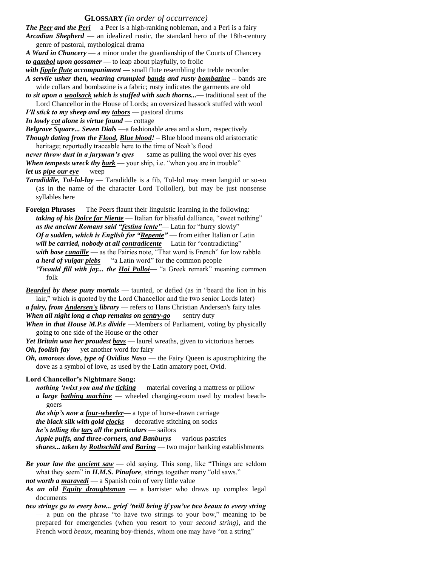#### **GLOSSARY** *(in order of occurrence)*

*The Peer and the Peri —* a Peer is a high-ranking nobleman, and a Peri is a fairy *Arcadian Shepherd* — an idealized rustic, the standard hero of the 18th-century genre of pastoral, mythological drama

*A Ward in Chancery* — a minor under the guardianship of the Courts of Chancery *to gambol upon gossamer —* to leap about playfully, to frolic

- *with fipple flute accompaniment —* small flute resembling the treble recorder *A servile usher then, wearing crumpled bands and rusty bombazine –* bands are
- wide collars and bombazine is a fabric; rusty indicates the garments are old *to sit upon a woolsack which is stuffed with such thorns...—* traditional seat of the
- Lord Chancellor in the House of Lords; an oversized hassock stuffed with wool *I'll stick to my sheep and my tabors* — pastoral drums

*In lowly cot alone is virtue found* — cottage

*Belgrave Square... Seven Dials* —a fashionable area and a slum, respectively *Though dating from the Flood, Blue blood!* – Blue blood means old aristocratic heritage; reportedly traceable here to the time of Noah's flood

*never throw dust in a juryman's eyes* — same as pulling the wool over his eyes *When tempests wreck thy bark* — your ship, i.e. "when you are in trouble" *let us pipe our eye* — weep

*Taradiddle, Tol-lol-lay* — Taradiddle is a fib, Tol-lol may mean languid or so-so (as in the name of the character Lord Tolloller), but may be just nonsense syllables here

**Foreign Phrases** — The Peers flaunt their linguistic learning in the following: *taking of his Dolce far Niente* — Italian for blissful dalliance, "sweet nothing" as the ancient Romans said "festina lente"- Latin for "hurry slowly" *Of a sudden, which is English for "Repente"* — from either Italian or Latin *will be carried, nobody at all contradicente* —Latin for "contradicting" *with base canaille* — as the Fairies note, "That word is French" for low rabble *a herd of vulgar plebs* — "a Latin word" for the common people *'Twould fill with joy... the Hoi Polloi—* "a Greek remark" meaning common folk

*Bearded by these puny mortals* — taunted, or defied (as in "beard the lion in his lair," which is quoted by the Lord Chancellor and the two senior Lords later) *a fairy, from Andersen's library* — refers to Hans Christian Andersen's fairy tales

*When all night long a chap remains on sentry-go* — sentry duty

*When in that House M.P.s divide* —Members of Parliament, voting by physically going to one side of the House or the other

*Yet Britain won her proudest bays* — laurel wreaths, given to victorious heroes *Oh, foolish fay* — yet another word for fairy

*Oh, amorous dove, type of Ovidius Naso* — the Fairy Queen is apostrophizing the dove as a symbol of love, as used by the Latin amatory poet, Ovid.

**Lord Chancellor's Nightmare Song:**

- *nothing 'twixt you and the ticking* material covering a mattress or pillow *a large bathing machine* — wheeled changing-room used by modest beachgoers
- *the ship's now a four-wheeler—* a type of horse-drawn carriage

*the black silk with gold clocks* — decorative stitching on socks

*he's telling the tars all the particulars* — sailors

*Apple puffs, and three-corners, and Banburys* — various pastries

*shares... taken by Rothschild and Baring* — two major banking establishments

*Be your law the ancient saw* — old saying. This song, like "Things are seldom what they seem" in *H.M.S. Pinafore*, strings together many "old saws."

*not worth a maravedi* — a Spanish coin of very little value

- *As an old Equity draughtsman* a barrister who draws up complex legal documents
- *two strings go to every bow... grief 'twill bring if you've two beaux to every string*  — a pun on the phrase "to have two strings to your bow," meaning to be prepared for emergencies (when you resort to your *second string),* and the French word *beaux*, meaning boy-friends, whom one may have "on a string"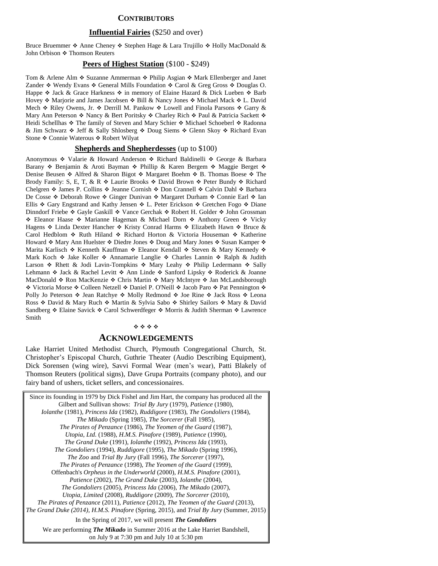#### **CONTRIBUTORS**

#### **Influential Fairies** (\$250 and over)

Bruce Bruemmer  $\triangle$  Anne Cheney  $\triangle$  Stephen Hage & Lara Trujillo  $\triangle$  Holly MacDonald & John Orbison  $\cdot \cdot$  Thomson Reuters

#### **Peers of Highest Station** (\$100 - \$249)

Tom & Arlene Alm  $\triangle$  Suzanne Ammerman  $\triangle$  Philip Asgian  $\triangle$  Mark Ellenberger and Janet Zander  $\div$  Wendy Evans  $\div$  General Mills Foundation  $\div$  Carol & Greg Gross  $\div$  Douglas O. Happe  $\triangle$  Jack & Grace Harkness  $\triangle$  in memory of Elaine Hazard & Dick Lueben  $\triangle$  Barb Hovey  $\triangle$  Marjorie and James Jacobsen  $\triangle$  Bill & Nancy Jones  $\triangle$  Michael Mack  $\triangle$  L. David Mech  $\triangle$  Riley Owens, Jr.  $\triangle$  Derrill M. Pankow  $\triangle$  Lowell and Finola Parsons  $\triangle$  Garry  $\&$ Mary Ann Peterson  $\cdot$  Nancy & Bert Poritsky  $\cdot \cdot$  Charley Rich  $\cdot \cdot$  Paul & Patricia Sackett  $\cdot \cdot$ Heidi Schellhas ❖ The family of Steven and Mary Schier ❖ Michael Schoeberl ❖ Radonna & Jim Schwarz  $\div$  Jeff & Sally Shlosberg  $\div$  Doug Siems  $\div$  Glenn Skoy  $\div$  Richard Evan Stone ❖ Connie Waterous ❖ Robert Wilyat

#### **Shepherds and Shepherdesses** (up to \$100)

Anonymous  $\div$  Valarie & Howard Anderson  $\div$  Richard Baldinelli  $\div$  George & Barbara Barany  $\div$  Benjamin & Aroti Bayman  $\div$  Phillip & Karen Bergem  $\div$  Maggie Berget  $\div$ Denise Beusen ❖ Alfred & Sharon Bigot ❖ Margaret Boehm ❖ B. Thomas Boese ❖ The Brody Family: S, E, T, & R  $\triangleleft$  Laurie Brooks  $\triangleleft$  David Brown  $\triangleleft$  Peter Bundy  $\triangleleft$  Richard Chelgren ◆ James P. Collins ◆ Jeanne Cornish ◆ Don Crannell ◆ Calvin Dahl ◆ Barbara De Cosse ◆ Deborah Rowe ◆ Ginger Dunivan ◆ Margaret Durham ◆ Connie Earl ◆ Ian Ellis  $\div$  Gary Engstrand and Kathy Jensen  $\div$  L. Peter Erickson  $\div$  Gretchen Fogo  $\div$  Diane Dinndorf Friebe  $\div$  Gayle Gaskill  $\div$  Vance Gerchak  $\div$  Robert H. Golder  $\div$  John Grossman \* Eleanor Haase \* Marianne Hageman & Michael Dorn \* Anthony Green \* Vicky Hagens  $\triangle$  Linda Dexter Hancher  $\triangle$  Kristy Conrad Harms  $\triangle$  Elizabeth Hawn  $\triangle$  Bruce & Carol Hedblom  $\div$  Ruth Hiland  $\div$  Richard Horton & Victoria Houseman  $\div$  Katherine Howard ❖ Mary Ann Huelster ❖ Diedre Jones ❖ Doug and Mary Jones ❖ Susan Kamper ❖ Marita Karlisch  $\triangle$  Kenneth Kauffman  $\triangle$  Eleanor Kendall  $\triangle$  Steven & Mary Kennedy  $\triangle$ Mark Koch  $\div$  Jake Koller  $\div$  Annamarie Langlie  $\div$  Charles Lannin  $\div$  Ralph & Judith Larson  $\div$  Rhett & Jodi Lavin-Tompkins  $\div$  Mary Leahy  $\div$  Philip Ledermann  $\div$  Sally Lehmann  $\div$  Jack & Rachel Levitt  $\div$  Ann Linde  $\div$  Sanford Lipsky  $\div$  Roderick & Joanne MacDonald  $\triangle$  Ron MacKenzie  $\triangle$  Chris Martin  $\triangle$  Mary McIntyre  $\triangle$  Jan McLandsborough ◆ Victoria Morse ◆ Colleen Netzell ◆ Daniel P. O'Neill ◆ Jacob Paro ◆ Pat Pennington ◆ Polly Jo Peterson  $\div$  Jean Ratchye  $\div$  Molly Redmond  $\div$  Joe Rine  $\div$  Jack Ross  $\div$  Leona Ross  $\div$  David & Mary Ruch  $\div$  Martin & Sylvia Sabo  $\div$  Shirley Sailors  $\div$  Mary & David Sandberg  $\triangle$  Elaine Savick  $\triangle$  Carol Schwerdfeger  $\triangle$  Morris & Judith Sherman  $\triangle$  Lawrence Smith

#### \*\*\*\*

#### **ACKNOWLEDGEMENTS**

Lake Harriet United Methodist Church, Plymouth Congregational Church, St. Christopher's Episcopal Church, Guthrie Theater (Audio Describing Equipment), Dick Sorensen (wing wire), Savvi Formal Wear (men's wear), Patti Blakely of Thomson Reuters (political signs), Dave Grupa Portraits (company photo), and our fairy band of ushers, ticket sellers, and concessionaires.

Since its founding in 1979 by Dick Fishel and Jim Hart, the company has produced all the Gilbert and Sullivan shows: *Trial By Jury* (1979), *Patience* (1980), *Iolanthe* (1981), *Princess Ida* (1982), *Ruddigore* (1983), *The Gondoliers* (1984), *The Mikado* (Spring 1985), *The Sorcerer* (Fall 1985), *The Pirates of Penzance* (1986), *The Yeomen of the Guard* (1987), *Utopia, Ltd.* (1988), *H.M.S. Pinafore* (1989), *Patience* (1990), *The Grand Duke* (1991), *Iolanthe* (1992), *Princess Ida* (1993), *The Gondoliers* (1994), *Ruddigore* (1995), *The Mikado* (Spring 1996), *The Zoo* and *Trial By Jury* (Fall 1996), *The Sorcerer* (1997), *The Pirates of Penzance* (1998), *The Yeomen of the Guard* (1999), Offenbach's *Orpheus in the Underworld* (2000), *H.M.S. Pinafore* (2001), *Patience* (2002), *The Grand Duke* (2003), *Iolanthe* (2004), *The Gondoliers* (2005), *Princess Ida* (2006), *The Mikado* (2007), *Utopia, Limited* (2008), *Ruddigore* (2009), *The Sorcerer* (2010), *The Pirates of Penzance* (2011), *Patience* (2012), *The Yeomen of the Guard* (2013), *The Grand Duke (2014), H.M.S. Pinafore* (Spring, 2015), and *Trial By Jury* (Summer, 2015) In the Spring of 2017, we will present *The Gondoliers* We are performing *The Mikado* in Summer 2016 at the Lake Harriet Bandshell, on July 9 at 7:30 pm and July 10 at 5:30 pm